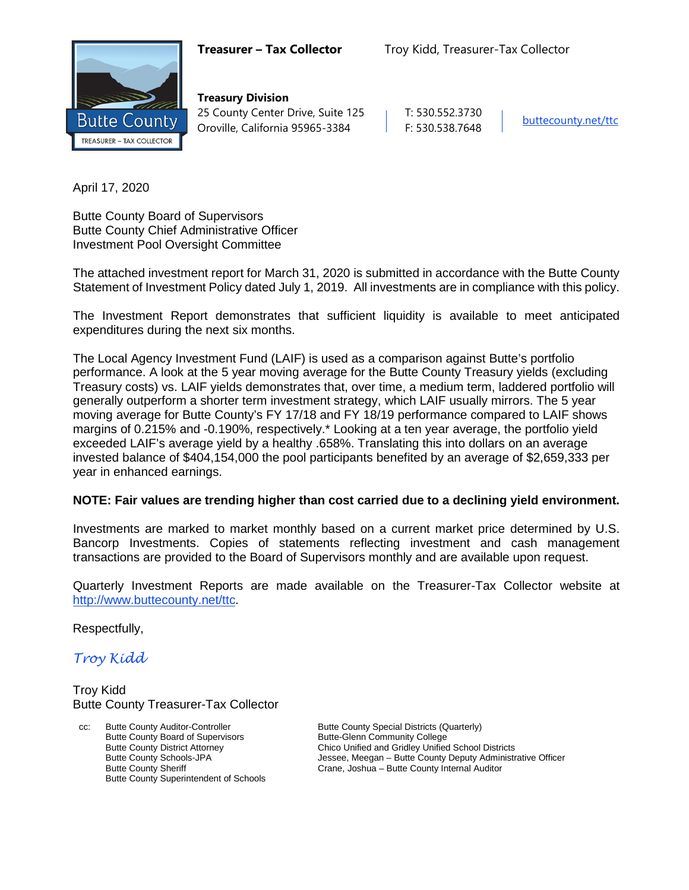

**Treasury Division** 25 County Center Drive, Suite 125 | T: 530.552.3730 Oroville, California 95965-3384 F: 530.538.7648 [buttecounty.net/t](http://www.buttecounty.net/administration)tc

April 17, 2020

Butte County Board of Supervisors Butte County Chief Administrative Officer Investment Pool Oversight Committee

The attached investment report for March 31, 2020 is submitted in accordance with the Butte County Statement of Investment Policy dated July 1, 2019. All investments are in compliance with this policy.

The Investment Report demonstrates that sufficient liquidity is available to meet anticipated expenditures during the next six months.

The Local Agency Investment Fund (LAIF) is used as a comparison against Butte's portfolio performance. A look at the 5 year moving average for the Butte County Treasury yields (excluding Treasury costs) vs. LAIF yields demonstrates that, over time, a medium term, laddered portfolio will generally outperform a shorter term investment strategy, which LAIF usually mirrors. The 5 year moving average for Butte County's FY 17/18 and FY 18/19 performance compared to LAIF shows margins of 0.215% and -0.190%, respectively.\* Looking at a ten year average, the portfolio yield exceeded LAIF's average yield by a healthy .658%. Translating this into dollars on an average invested balance of \$404,154,000 the pool participants benefited by an average of \$2,659,333 per year in enhanced earnings.

### **NOTE: Fair values are trending higher than cost carried due to a declining yield environment.**

Investments are marked to market monthly based on a current market price determined by U.S. Bancorp Investments. Copies of statements reflecting investment and cash management transactions are provided to the Board of Supervisors monthly and are available upon request.

Quarterly Investment Reports are made available on the Treasurer-Tax Collector website at <http://www.buttecounty.net/ttc>.

Respectfully,

*Troy Kidd*

Troy Kidd Butte County Treasurer-Tax Collector

Butte County Auditor-Controller **Butte County Special Districts (Quarterly)** Butte County Special Districts (Quarterly) Butte County Board of Supervisors<br>
Butte County District Attorney<br>
Chico Unified and Gridley Unified Butte County Superintendent of Schools

Butte County District Attorney<br>
Butte County Schools-JPA<br>
Jessee, Meegan – Butte County Deputy Administr Butte County Schools-JPA **Jessee, Meegan – Butte County Deputy Administrative Officer**<br>
Crane, Joshua – Butte County Internal Auditor<br>
Drame, Joshua – Butte County Internal Auditor Crane, Joshua – Butte County Internal Auditor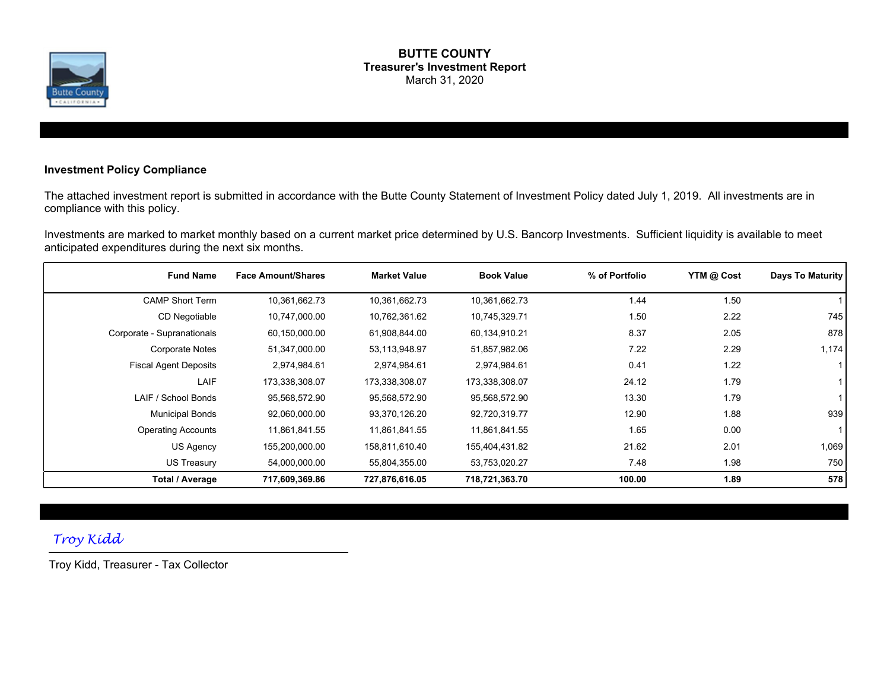

#### **BUTTE COUNTY Treasurer's Investment Report** March 31, 2020

### **Investment Policy Compliance**

The attached investment report is submitted in accordance with the Butte County Statement of Investment Policy dated July 1, 2019. All investments are in compliance with this policy.

Investments are marked to market monthly based on a current market price determined by U.S. Bancorp Investments. Sufficient liquidity is available to meet anticipated expenditures during the next six months.

| <b>Fund Name</b>             | <b>Face Amount/Shares</b> | <b>Market Value</b> | <b>Book Value</b> | % of Portfolio | YTM @ Cost | Days To Maturity |
|------------------------------|---------------------------|---------------------|-------------------|----------------|------------|------------------|
| <b>CAMP Short Term</b>       | 10,361,662.73             | 10,361,662.73       | 10,361,662.73     | 1.44           | 1.50       |                  |
| CD Negotiable                | 10,747,000.00             | 10,762,361.62       | 10,745,329.71     | 1.50           | 2.22       | 745              |
| Corporate - Supranationals   | 60,150,000.00             | 61,908,844.00       | 60,134,910.21     | 8.37           | 2.05       | 878              |
| <b>Corporate Notes</b>       | 51,347,000.00             | 53,113,948.97       | 51,857,982.06     | 7.22           | 2.29       | 1,174            |
| <b>Fiscal Agent Deposits</b> | 2,974,984.61              | 2,974,984.61        | 2,974,984.61      | 0.41           | 1.22       |                  |
| LAIF                         | 173,338,308.07            | 173,338,308.07      | 173,338,308.07    | 24.12          | 1.79       |                  |
| LAIF / School Bonds          | 95,568,572.90             | 95,568,572.90       | 95,568,572.90     | 13.30          | 1.79       |                  |
| <b>Municipal Bonds</b>       | 92,060,000.00             | 93,370,126.20       | 92,720,319.77     | 12.90          | 1.88       | 939              |
| <b>Operating Accounts</b>    | 11,861,841.55             | 11,861,841.55       | 11,861,841.55     | 1.65           | 0.00       | 1 I              |
| US Agency                    | 155,200,000.00            | 158,811,610.40      | 155,404,431.82    | 21.62          | 2.01       | 1,069            |
| <b>US Treasury</b>           | 54,000,000.00             | 55,804,355.00       | 53,753,020.27     | 7.48           | 1.98       | 750              |
| Total / Average              | 717,609,369.86            | 727,876,616.05      | 718,721,363.70    | 100.00         | 1.89       | 578              |

### *Troy Kidd*

Troy Kidd, Treasurer - Tax Collector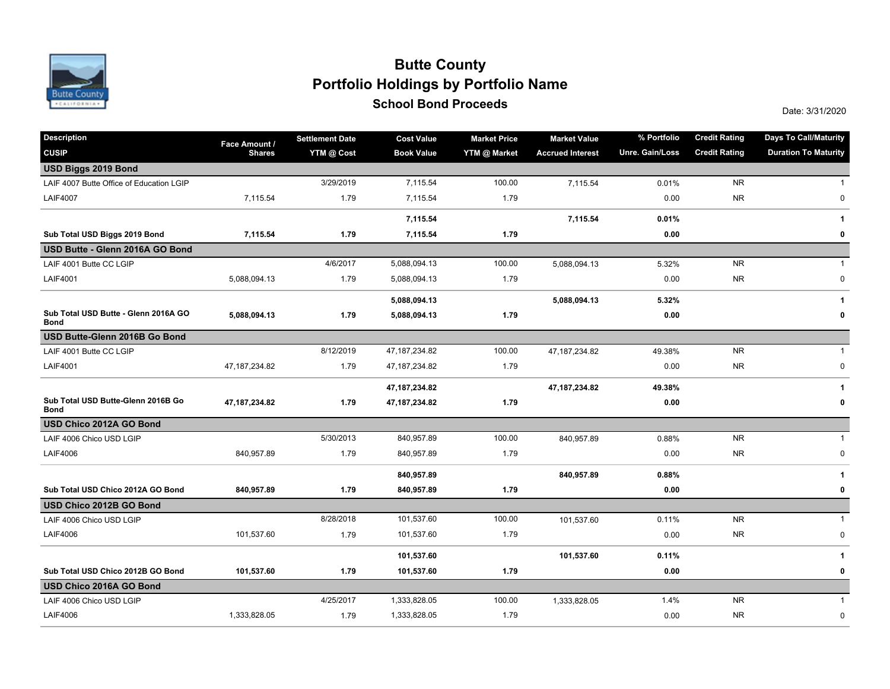

## **School Bond Proceeds School Bond Proceeds Portfolio Holdings by Portfolio Name Butte County**

| Description                                         | Face Amount /   | <b>Settlement Date</b> | <b>Cost Value</b> | <b>Market Price</b> | <b>Market Value</b>     | % Portfolio     | <b>Credit Rating</b> | <b>Days To Call/Maturity</b> |
|-----------------------------------------------------|-----------------|------------------------|-------------------|---------------------|-------------------------|-----------------|----------------------|------------------------------|
| <b>CUSIP</b>                                        | <b>Shares</b>   | YTM @ Cost             | <b>Book Value</b> | YTM @ Market        | <b>Accrued Interest</b> | Unre. Gain/Loss | <b>Credit Rating</b> | <b>Duration To Maturity</b>  |
| USD Biggs 2019 Bond                                 |                 |                        |                   |                     |                         |                 |                      |                              |
| LAIF 4007 Butte Office of Education LGIP            |                 | 3/29/2019              | 7,115.54          | 100.00              | 7,115.54                | 0.01%           | <b>NR</b>            | $\mathbf{1}$                 |
| <b>LAIF4007</b>                                     | 7,115.54        | 1.79                   | 7,115.54          | 1.79                |                         | 0.00            | <b>NR</b>            | $\pmb{0}$                    |
|                                                     |                 |                        | 7,115.54          |                     | 7,115.54                | 0.01%           |                      | 1                            |
| Sub Total USD Biggs 2019 Bond                       | 7,115.54        | 1.79                   | 7,115.54          | 1.79                |                         | 0.00            |                      | 0                            |
| USD Butte - Glenn 2016A GO Bond                     |                 |                        |                   |                     |                         |                 |                      |                              |
| LAIF 4001 Butte CC LGIP                             |                 | 4/6/2017               | 5,088,094.13      | 100.00              | 5,088,094.13            | 5.32%           | <b>NR</b>            | $\mathbf{1}$                 |
| <b>LAIF4001</b>                                     | 5,088,094.13    | 1.79                   | 5,088,094.13      | 1.79                |                         | 0.00            | <b>NR</b>            | 0                            |
|                                                     |                 |                        | 5,088,094.13      |                     | 5,088,094.13            | 5.32%           |                      | 1                            |
| Sub Total USD Butte - Glenn 2016A GO<br><b>Bond</b> | 5,088,094.13    | 1.79                   | 5,088,094.13      | 1.79                |                         | 0.00            |                      | 0                            |
| USD Butte-Glenn 2016B Go Bond                       |                 |                        |                   |                     |                         |                 |                      |                              |
| LAIF 4001 Butte CC LGIP                             |                 | 8/12/2019              | 47, 187, 234.82   | 100.00              | 47, 187, 234.82         | 49.38%          | <b>NR</b>            | $\mathbf{1}$                 |
| <b>LAIF4001</b>                                     | 47, 187, 234.82 | 1.79                   | 47, 187, 234. 82  | 1.79                |                         | 0.00            | <b>NR</b>            | 0                            |
|                                                     |                 |                        | 47, 187, 234.82   |                     | 47, 187, 234.82         | 49.38%          |                      | 1                            |
| Sub Total USD Butte-Glenn 2016B Go<br><b>Bond</b>   | 47,187,234.82   | 1.79                   | 47,187,234.82     | 1.79                |                         | 0.00            |                      | 0                            |
| USD Chico 2012A GO Bond                             |                 |                        |                   |                     |                         |                 |                      |                              |
| LAIF 4006 Chico USD LGIP                            |                 | 5/30/2013              | 840,957.89        | 100.00              | 840,957.89              | 0.88%           | <b>NR</b>            | $\mathbf{1}$                 |
| <b>LAIF4006</b>                                     | 840,957.89      | 1.79                   | 840,957.89        | 1.79                |                         | 0.00            | <b>NR</b>            | $\pmb{0}$                    |
|                                                     |                 |                        | 840,957.89        |                     | 840,957.89              | 0.88%           |                      | 1                            |
| Sub Total USD Chico 2012A GO Bond                   | 840,957.89      | 1.79                   | 840,957.89        | 1.79                |                         | 0.00            |                      | 0                            |
| USD Chico 2012B GO Bond                             |                 |                        |                   |                     |                         |                 |                      |                              |
| LAIF 4006 Chico USD LGIP                            |                 | 8/28/2018              | 101,537.60        | 100.00              | 101,537.60              | 0.11%           | <b>NR</b>            | $\mathbf{1}$                 |
| <b>LAIF4006</b>                                     | 101,537.60      | 1.79                   | 101,537.60        | 1.79                |                         | 0.00            | <b>NR</b>            | 0                            |
|                                                     |                 |                        | 101,537.60        |                     | 101,537.60              | 0.11%           |                      | 1                            |
| Sub Total USD Chico 2012B GO Bond                   | 101,537.60      | 1.79                   | 101,537.60        | 1.79                |                         | 0.00            |                      | 0                            |
| USD Chico 2016A GO Bond                             |                 |                        |                   |                     |                         |                 |                      |                              |
| LAIF 4006 Chico USD LGIP                            |                 | 4/25/2017              | 1,333,828.05      | 100.00              | 1,333,828.05            | 1.4%            | <b>NR</b>            | $\mathbf{1}$                 |
| <b>LAIF4006</b>                                     | 1,333,828.05    | 1.79                   | 1,333,828.05      | 1.79                |                         | 0.00            | <b>NR</b>            | $\pmb{0}$                    |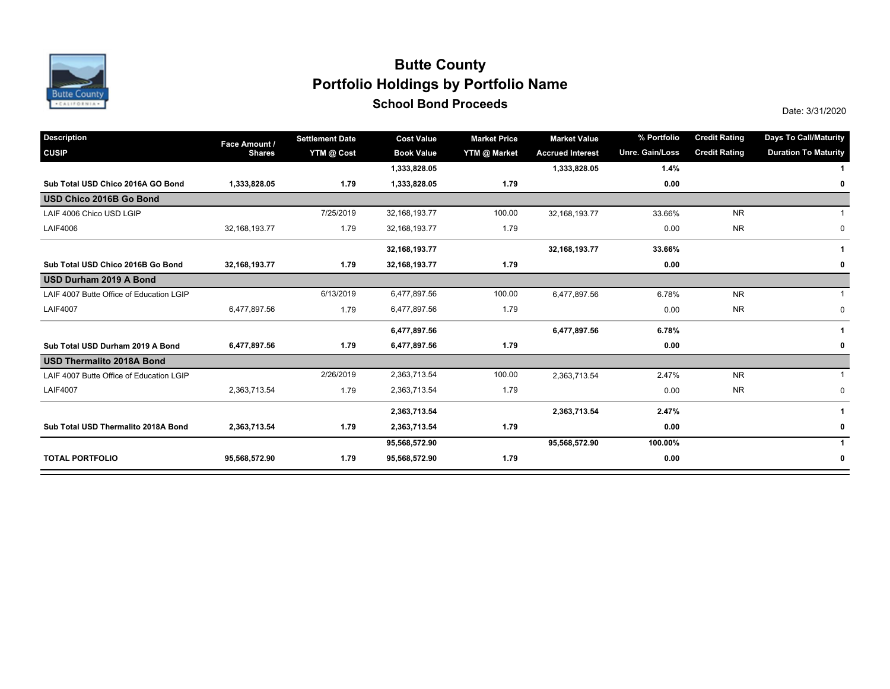

## **School Bond Proceeds School Bond Proceeds School Bond Proceeds SCHOOL BOND 2020 Date: 3/31/2020 Portfolio Holdings by Portfolio Name Butte County**

| <b>Description</b>                       | Face Amount /    | <b>Settlement Date</b> | <b>Cost Value</b> | <b>Market Price</b> | <b>Market Value</b>     | % Portfolio     | <b>Credit Rating</b> | <b>Days To Call/Maturity</b> |
|------------------------------------------|------------------|------------------------|-------------------|---------------------|-------------------------|-----------------|----------------------|------------------------------|
| <b>CUSIP</b>                             | <b>Shares</b>    | YTM @ Cost             | <b>Book Value</b> | YTM @ Market        | <b>Accrued Interest</b> | Unre. Gain/Loss | <b>Credit Rating</b> | <b>Duration To Maturity</b>  |
|                                          |                  |                        | 1,333,828.05      |                     | 1,333,828.05            | 1.4%            |                      |                              |
| Sub Total USD Chico 2016A GO Bond        | 1,333,828.05     | 1.79                   | 1,333,828.05      | 1.79                |                         | 0.00            |                      | 0                            |
| USD Chico 2016B Go Bond                  |                  |                        |                   |                     |                         |                 |                      |                              |
| LAIF 4006 Chico USD LGIP                 |                  | 7/25/2019              | 32,168,193.77     | 100.00              | 32,168,193.77           | 33.66%          | <b>NR</b>            |                              |
| <b>LAIF4006</b>                          | 32, 168, 193. 77 | 1.79                   | 32,168,193.77     | 1.79                |                         | 0.00            | <b>NR</b>            | 0                            |
|                                          |                  |                        | 32, 168, 193. 77  |                     | 32, 168, 193. 77        | 33.66%          |                      |                              |
| Sub Total USD Chico 2016B Go Bond        | 32,168,193.77    | 1.79                   | 32, 168, 193. 77  | 1.79                |                         | 0.00            |                      | 0                            |
| USD Durham 2019 A Bond                   |                  |                        |                   |                     |                         |                 |                      |                              |
| LAIF 4007 Butte Office of Education LGIP |                  | 6/13/2019              | 6,477,897.56      | 100.00              | 6,477,897.56            | 6.78%           | <b>NR</b>            | $\mathbf{1}$                 |
| <b>LAIF4007</b>                          | 6,477,897.56     | 1.79                   | 6,477,897.56      | 1.79                |                         | 0.00            | <b>NR</b>            | $\mathbf 0$                  |
|                                          |                  |                        | 6,477,897.56      |                     | 6,477,897.56            | 6.78%           |                      | -1                           |
| Sub Total USD Durham 2019 A Bond         | 6,477,897.56     | 1.79                   | 6,477,897.56      | 1.79                |                         | 0.00            |                      | 0                            |
| <b>USD Thermalito 2018A Bond</b>         |                  |                        |                   |                     |                         |                 |                      |                              |
| LAIF 4007 Butte Office of Education LGIP |                  | 2/26/2019              | 2,363,713.54      | 100.00              | 2,363,713.54            | 2.47%           | <b>NR</b>            |                              |
| <b>LAIF4007</b>                          | 2,363,713.54     | 1.79                   | 2,363,713.54      | 1.79                |                         | 0.00            | <b>NR</b>            | $\mathbf 0$                  |
|                                          |                  |                        | 2,363,713.54      |                     | 2,363,713.54            | 2.47%           |                      | 1                            |
| Sub Total USD Thermalito 2018A Bond      | 2,363,713.54     | 1.79                   | 2,363,713.54      | 1.79                |                         | 0.00            |                      | 0                            |
|                                          |                  |                        | 95,568,572.90     |                     | 95,568,572.90           | 100.00%         |                      |                              |
| <b>TOTAL PORTFOLIO</b>                   | 95,568,572.90    | 1.79                   | 95,568,572.90     | 1.79                |                         | 0.00            |                      | 0                            |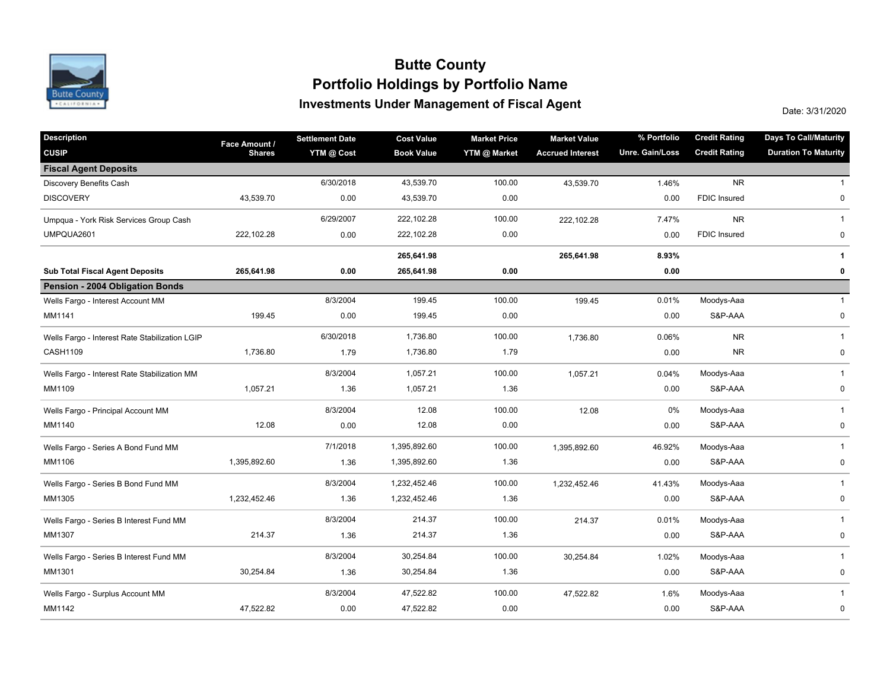

## **Investments Under Management of Fiscal Agent Portfolio Holdings by Portfolio Name Butte County**

Date: 3/31/2020

| <b>Description</b>                             | Face Amount / | <b>Settlement Date</b> | <b>Cost Value</b> | <b>Market Price</b> | <b>Market Value</b>     | % Portfolio     | <b>Credit Rating</b> | <b>Days To Call/Maturity</b> |
|------------------------------------------------|---------------|------------------------|-------------------|---------------------|-------------------------|-----------------|----------------------|------------------------------|
| <b>CUSIP</b>                                   | <b>Shares</b> | YTM @ Cost             | <b>Book Value</b> | YTM @ Market        | <b>Accrued Interest</b> | Unre. Gain/Loss | <b>Credit Rating</b> | <b>Duration To Maturity</b>  |
| <b>Fiscal Agent Deposits</b>                   |               |                        |                   |                     |                         |                 |                      |                              |
| Discovery Benefits Cash                        |               | 6/30/2018              | 43,539.70         | 100.00              | 43,539.70               | 1.46%           | <b>NR</b>            | $\mathbf{1}$                 |
| <b>DISCOVERY</b>                               | 43,539.70     | 0.00                   | 43,539.70         | 0.00                |                         | 0.00            | <b>FDIC Insured</b>  | $\mathbf 0$                  |
| Umpqua - York Risk Services Group Cash         |               | 6/29/2007              | 222,102.28        | 100.00              | 222,102.28              | 7.47%           | <b>NR</b>            | $\mathbf{1}$                 |
| UMPQUA2601                                     | 222,102.28    | 0.00                   | 222,102.28        | 0.00                |                         | 0.00            | <b>FDIC Insured</b>  | 0                            |
|                                                |               |                        | 265,641.98        |                     | 265,641.98              | 8.93%           |                      | 1                            |
| <b>Sub Total Fiscal Agent Deposits</b>         | 265,641.98    | 0.00                   | 265,641.98        | 0.00                |                         | 0.00            |                      | 0                            |
| Pension - 2004 Obligation Bonds                |               |                        |                   |                     |                         |                 |                      |                              |
| Wells Fargo - Interest Account MM              |               | 8/3/2004               | 199.45            | 100.00              | 199.45                  | 0.01%           | Moodys-Aaa           | $\mathbf{1}$                 |
| MM1141                                         | 199.45        | 0.00                   | 199.45            | 0.00                |                         | 0.00            | S&P-AAA              | 0                            |
| Wells Fargo - Interest Rate Stabilization LGIP |               | 6/30/2018              | 1,736.80          | 100.00              | 1,736.80                | 0.06%           | <b>NR</b>            | $\mathbf{1}$                 |
| CASH1109                                       | 1,736.80      | 1.79                   | 1,736.80          | 1.79                |                         | 0.00            | <b>NR</b>            | $\pmb{0}$                    |
| Wells Fargo - Interest Rate Stabilization MM   |               | 8/3/2004               | 1,057.21          | 100.00              | 1,057.21                | 0.04%           | Moodys-Aaa           | $\mathbf{1}$                 |
| MM1109                                         | 1,057.21      | 1.36                   | 1,057.21          | 1.36                |                         | 0.00            | S&P-AAA              | 0                            |
| Wells Fargo - Principal Account MM             |               | 8/3/2004               | 12.08             | 100.00              | 12.08                   | 0%              | Moodys-Aaa           | $\mathbf{1}$                 |
| MM1140                                         | 12.08         | 0.00                   | 12.08             | 0.00                |                         | 0.00            | S&P-AAA              | $\mathbf 0$                  |
| Wells Fargo - Series A Bond Fund MM            |               | 7/1/2018               | 1,395,892.60      | 100.00              | 1,395,892.60            | 46.92%          | Moodys-Aaa           | $\mathbf{1}$                 |
| MM1106                                         | 1,395,892.60  | 1.36                   | 1,395,892.60      | 1.36                |                         | 0.00            | S&P-AAA              | 0                            |
| Wells Fargo - Series B Bond Fund MM            |               | 8/3/2004               | 1,232,452.46      | 100.00              | 1,232,452.46            | 41.43%          | Moodys-Aaa           | $\mathbf 1$                  |
| MM1305                                         | 1,232,452.46  | 1.36                   | 1,232,452.46      | 1.36                |                         | 0.00            | S&P-AAA              | $\pmb{0}$                    |
| Wells Fargo - Series B Interest Fund MM        |               | 8/3/2004               | 214.37            | 100.00              | 214.37                  | 0.01%           | Moodys-Aaa           | $\mathbf{1}$                 |
| MM1307                                         | 214.37        | 1.36                   | 214.37            | 1.36                |                         | 0.00            | S&P-AAA              | 0                            |
| Wells Fargo - Series B Interest Fund MM        |               | 8/3/2004               | 30,254.84         | 100.00              | 30,254.84               | 1.02%           | Moodys-Aaa           | $\mathbf{1}$                 |
| MM1301                                         | 30,254.84     | 1.36                   | 30,254.84         | 1.36                |                         | 0.00            | S&P-AAA              | 0                            |
| Wells Fargo - Surplus Account MM               |               | 8/3/2004               | 47,522.82         | 100.00              | 47,522.82               | 1.6%            | Moodys-Aaa           | $\mathbf{1}$                 |
| MM1142                                         | 47,522.82     | 0.00                   | 47,522.82         | 0.00                |                         | 0.00            | S&P-AAA              | 0                            |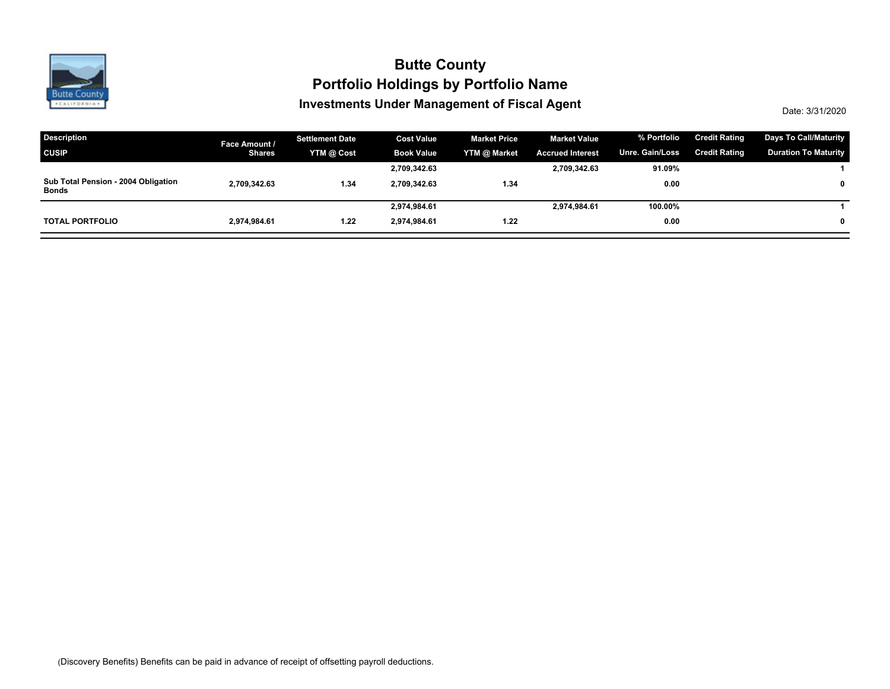

## **Investments Under Management of Fiscal Agent Portfolio Holdings by Portfolio Name Butte County**

Date: 3/31/2020

| <b>Description</b>                           | Face Amount / | <b>Settlement Date</b> | <b>Cost Value</b> | <b>Market Price</b> | <b>Market Value</b>     | % Portfolio            | <b>Credit Rating</b> | <b>Days To Call/Maturity</b> |
|----------------------------------------------|---------------|------------------------|-------------------|---------------------|-------------------------|------------------------|----------------------|------------------------------|
| <b>CUSIP</b>                                 | <b>Shares</b> | YTM @ Cost             | <b>Book Value</b> | YTM @ Market        | <b>Accrued Interest</b> | <b>Unre. Gain/Loss</b> | <b>Credit Rating</b> | <b>Duration To Maturity</b>  |
|                                              |               |                        | 2,709,342.63      |                     | 2,709,342.63            | 91.09%                 |                      |                              |
| Sub Total Pension - 2004 Obligation<br>Bonds | 2,709,342.63  | 1.34                   | 2.709.342.63      | 1.34                |                         | 0.00                   |                      |                              |
|                                              |               |                        | 2,974,984.61      |                     | 2,974,984.61            | 100.00%                |                      |                              |
| <b>TOTAL PORTFOLIO</b>                       | 2.974.984.61  | 1.22                   | 2.974.984.61      | 1.22                |                         | 0.00                   |                      |                              |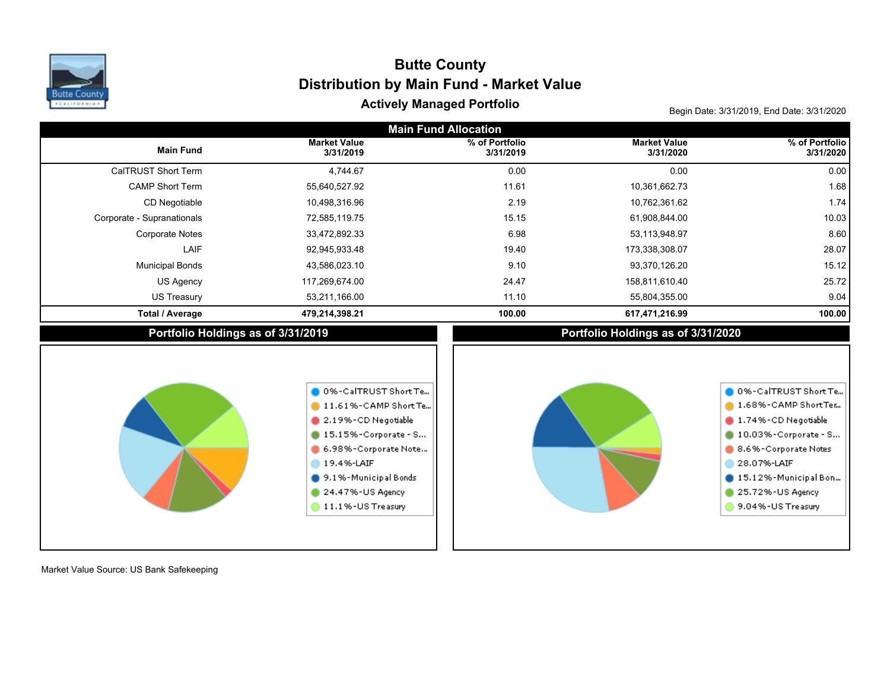

# Actively Managed Portfolio **Actively Managed Portfolio Actively Managed Portfolio Distribution by Main Fund - Market Value Butte County**

| <b>Main Fund Allocation</b> |                                                                                                                                                                                                                          |                             |                                    |                                                                                                                                                                                                        |  |  |  |  |  |  |
|-----------------------------|--------------------------------------------------------------------------------------------------------------------------------------------------------------------------------------------------------------------------|-----------------------------|------------------------------------|--------------------------------------------------------------------------------------------------------------------------------------------------------------------------------------------------------|--|--|--|--|--|--|
| <b>Main Fund</b>            | <b>Market Value</b><br>3/31/2019                                                                                                                                                                                         | % of Portfolio<br>3/31/2019 | <b>Market Value</b><br>3/31/2020   | % of Portfolio<br>3/31/2020                                                                                                                                                                            |  |  |  |  |  |  |
| CalTRUST Short Term         | 4,744.67                                                                                                                                                                                                                 | 0.00                        | 0.00                               | 0.00                                                                                                                                                                                                   |  |  |  |  |  |  |
| <b>CAMP Short Term</b>      | 55,640,527.92                                                                                                                                                                                                            | 11.61                       | 10,361,662.73                      | 1.68                                                                                                                                                                                                   |  |  |  |  |  |  |
| CD Negotiable               | 10,498,316.96                                                                                                                                                                                                            | 2.19                        | 10,762,361.62                      | 1.74                                                                                                                                                                                                   |  |  |  |  |  |  |
| Corporate - Supranationals  | 72,585,119.75                                                                                                                                                                                                            | 15.15                       | 61,908,844.00                      | 10.03                                                                                                                                                                                                  |  |  |  |  |  |  |
| <b>Corporate Notes</b>      | 33,472,892.33                                                                                                                                                                                                            | 6.98                        | 53,113,948.97                      | 8.60                                                                                                                                                                                                   |  |  |  |  |  |  |
| LAIF                        | 92,945,933.48                                                                                                                                                                                                            | 19.40                       | 173,338,308.07                     | 28.07                                                                                                                                                                                                  |  |  |  |  |  |  |
| <b>Municipal Bonds</b>      | 43,586,023.10                                                                                                                                                                                                            | 9.10                        | 93,370,126.20                      | 15.12                                                                                                                                                                                                  |  |  |  |  |  |  |
| US Agency                   | 117,269,674.00                                                                                                                                                                                                           | 24.47                       | 158,811,610.40                     | 25.72                                                                                                                                                                                                  |  |  |  |  |  |  |
| <b>US Treasury</b>          | 53,211,166.00                                                                                                                                                                                                            | 11.10                       | 55,804,355.00                      | 9.04                                                                                                                                                                                                   |  |  |  |  |  |  |
| <b>Total / Average</b>      | 479,214,398.21                                                                                                                                                                                                           | 100.00                      | 617,471,216.99                     | 100.00                                                                                                                                                                                                 |  |  |  |  |  |  |
|                             | Portfolio Holdings as of 3/31/2019                                                                                                                                                                                       |                             | Portfolio Holdings as of 3/31/2020 |                                                                                                                                                                                                        |  |  |  |  |  |  |
|                             | 0 0%-CalTRUST Short Te<br>$\bullet$ 11.61%-CAMP Short Te<br>$\bullet$ 2.19%-CD Negotiable<br>15.15%-Corporate - S<br>6.98%-Corporate Note<br>19.4%-LAIF<br>9.1%-Municipal Bonds<br>24.47%-US Agency<br>11.1%-US Treasury |                             |                                    | 0 0%-CalTRUST Short Te<br>1.68%-CAMP ShortTer<br>1.74%-CD Negotiable<br>10.03%-Corporate - S<br>8.6% - Corporate Notes<br>28.07%-LAIF<br>15.12%-Municipal Bon<br>25.72%-US Agency<br>9.04%-US Treasury |  |  |  |  |  |  |

Market Value Source: US Bank Safekeeping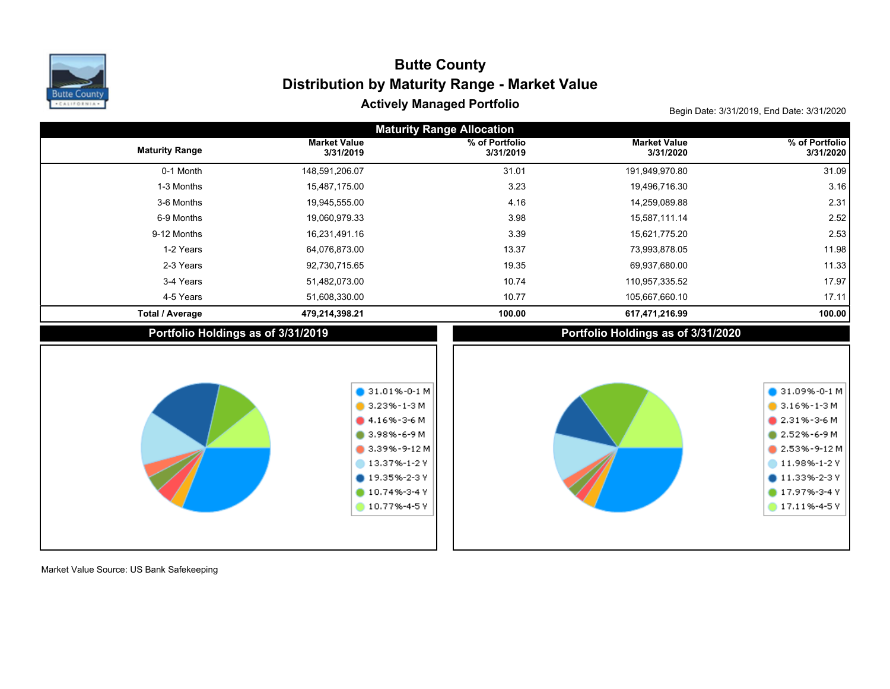

# Actively Managed Portfolio **Actively Managed Portfolio Actively Managed Portfolio Distribution by Maturity Range - Market Value Butte County**

| <b>Maturity Range Allocation</b> |                                    |                                                                                                                                                                                               |                                    |                                                                                                                                                                                    |  |  |  |  |  |  |
|----------------------------------|------------------------------------|-----------------------------------------------------------------------------------------------------------------------------------------------------------------------------------------------|------------------------------------|------------------------------------------------------------------------------------------------------------------------------------------------------------------------------------|--|--|--|--|--|--|
| <b>Maturity Range</b>            | <b>Market Value</b><br>3/31/2019   | % of Portfolio<br>3/31/2019                                                                                                                                                                   | <b>Market Value</b><br>3/31/2020   | % of Portfolio<br>3/31/2020                                                                                                                                                        |  |  |  |  |  |  |
| 0-1 Month                        | 148,591,206.07                     | 31.01                                                                                                                                                                                         | 191,949,970.80                     | 31.09                                                                                                                                                                              |  |  |  |  |  |  |
| 1-3 Months                       | 15,487,175.00                      | 3.23                                                                                                                                                                                          | 19,496,716.30                      | 3.16                                                                                                                                                                               |  |  |  |  |  |  |
| 3-6 Months                       | 19,945,555.00                      | 4.16                                                                                                                                                                                          | 14,259,089.88                      | 2.31                                                                                                                                                                               |  |  |  |  |  |  |
| 6-9 Months                       | 19,060,979.33                      | 3.98                                                                                                                                                                                          | 15,587,111.14                      | 2.52                                                                                                                                                                               |  |  |  |  |  |  |
| 9-12 Months                      | 16,231,491.16                      | 3.39                                                                                                                                                                                          | 15,621,775.20                      | 2.53                                                                                                                                                                               |  |  |  |  |  |  |
| 1-2 Years                        | 64,076,873.00                      | 13.37                                                                                                                                                                                         | 73,993,878.05                      | 11.98                                                                                                                                                                              |  |  |  |  |  |  |
| 2-3 Years                        | 92,730,715.65                      | 19.35                                                                                                                                                                                         | 69,937,680.00                      | 11.33                                                                                                                                                                              |  |  |  |  |  |  |
| 3-4 Years                        | 51,482,073.00                      | 10.74                                                                                                                                                                                         | 110,957,335.52                     | 17.97                                                                                                                                                                              |  |  |  |  |  |  |
| 4-5 Years                        | 51,608,330.00                      | 10.77                                                                                                                                                                                         | 105,667,660.10                     | 17.11                                                                                                                                                                              |  |  |  |  |  |  |
| <b>Total / Average</b>           | 479,214,398.21                     | 100.00                                                                                                                                                                                        | 617,471,216.99                     | 100.00                                                                                                                                                                             |  |  |  |  |  |  |
|                                  | Portfolio Holdings as of 3/31/2019 |                                                                                                                                                                                               | Portfolio Holdings as of 3/31/2020 |                                                                                                                                                                                    |  |  |  |  |  |  |
|                                  |                                    | $\bullet$ 31.01%-0-1 M<br>$\bullet$ 3.23%-1-3 M<br>$-4.16\% - 3 - 6$ M<br>3.98%-6-9 M<br>$\bullet$ 3.39%-9-12 M<br>13.37%-1-2 Y<br>$\bullet$ 19.35%-2-3 Y<br>$10.74% - 3 - 4V$<br>10.77%-4-5Y |                                    | $\bigcirc$ 31.09%-0-1 M<br>$3.16\% - 1 - 3$ M<br>$2.31\% - 3 - 6M$<br>$2.52% - 6 - 9M$<br>2.53%-9-12M<br>11.98%-1-2 Y<br>$011.33\% - 2 - 3V$<br>17.97%-3-4 Y<br>$17.11\% - 4 - 5V$ |  |  |  |  |  |  |

Market Value Source: US Bank Safekeeping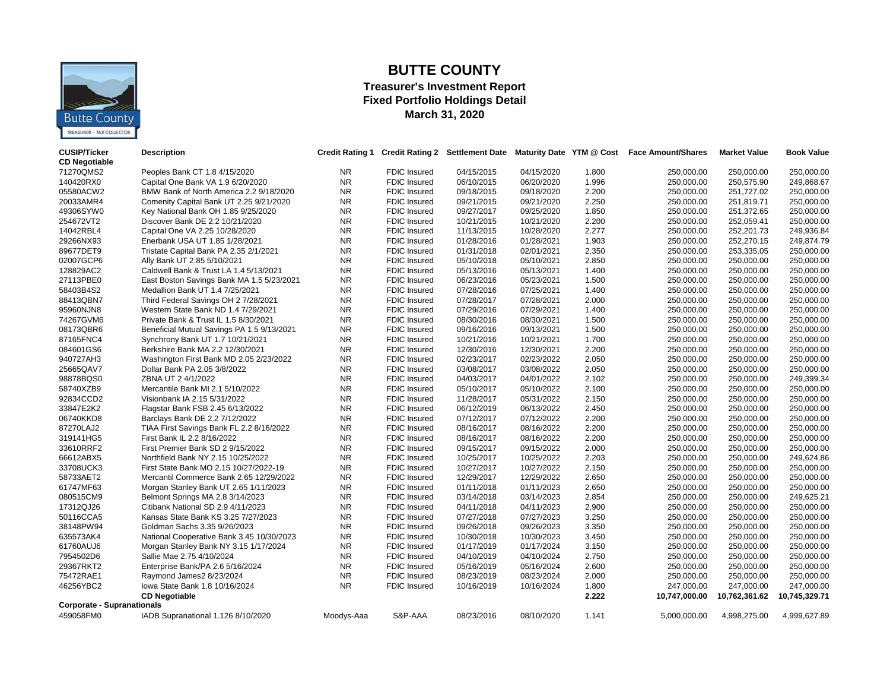

### **BUTTE COUNTY**

#### **Treasurer's Investment Report Fixed Portfolio Holdings Detail March 31, 2020**

| <b>CUSIP/Ticker</b><br><b>CD Negotiable</b> | <b>Description</b>                         |            |                     | Credit Rating 1 Credit Rating 2 Settlement Date |            |       | Maturity Date YTM @ Cost Face Amount/Shares | <b>Market Value</b> | <b>Book Value</b> |
|---------------------------------------------|--------------------------------------------|------------|---------------------|-------------------------------------------------|------------|-------|---------------------------------------------|---------------------|-------------------|
| 71270QMS2                                   | Peoples Bank CT 1.8 4/15/2020              | NR.        | FDIC Insured        | 04/15/2015                                      | 04/15/2020 | 1.800 | 250,000.00                                  | 250,000.00          | 250,000.00        |
| 140420RX0                                   | Capital One Bank VA 1.9 6/20/2020          | NR.        | <b>FDIC Insured</b> | 06/10/2015                                      | 06/20/2020 | 1.996 | 250,000.00                                  | 250,575.90          | 249,868.67        |
| 05580ACW2                                   | BMW Bank of North America 2.2 9/18/2020    | NR         | <b>FDIC Insured</b> | 09/18/2015                                      | 09/18/2020 | 2.200 | 250,000.00                                  | 251,727.02          | 250,000.00        |
| 20033AMR4                                   | Comenity Capital Bank UT 2.25 9/21/2020    | <b>NR</b>  | <b>FDIC</b> Insured | 09/21/2015                                      | 09/21/2020 | 2.250 | 250,000.00                                  | 251,819.71          | 250,000.00        |
| 49306SYW0                                   | Key National Bank OH 1.85 9/25/2020        | <b>NR</b>  | <b>FDIC Insured</b> | 09/27/2017                                      | 09/25/2020 | 1.850 | 250,000.00                                  | 251,372.65          | 250,000.00        |
| 254672VT2                                   | Discover Bank DE 2.2 10/21/2020            | NR         | <b>FDIC Insured</b> | 10/21/2015                                      | 10/21/2020 | 2.200 | 250,000.00                                  | 252,059.41          | 250,000.00        |
| 14042RBL4                                   | Capital One VA 2.25 10/28/2020             | <b>NR</b>  | <b>FDIC</b> Insured | 11/13/2015                                      | 10/28/2020 | 2.277 | 250,000.00                                  | 252,201.73          | 249,936.84        |
| 29266NX93                                   | Enerbank USA UT 1.85 1/28/2021             | <b>NR</b>  | FDIC Insured        | 01/28/2016                                      | 01/28/2021 | 1.903 | 250,000.00                                  | 252,270.15          | 249,874.79        |
| 89677DET9                                   | Tristate Capital Bank PA 2.35 2/1/2021     | NR         | <b>FDIC Insured</b> | 01/31/2018                                      | 02/01/2021 | 2.350 | 250,000.00                                  | 253,335.05          | 250,000.00        |
| 02007GCP6                                   | Ally Bank UT 2.85 5/10/2021                | NR         | FDIC Insured        | 05/10/2018                                      | 05/10/2021 | 2.850 | 250,000.00                                  | 250,000.00          | 250,000.00        |
| 128829AC2                                   | Caldwell Bank & Trust LA 1.4 5/13/2021     | <b>NR</b>  | <b>FDIC Insured</b> | 05/13/2016                                      | 05/13/2021 | 1.400 | 250,000.00                                  | 250,000.00          | 250,000.00        |
| 27113PBE0                                   | East Boston Savings Bank MA 1.5 5/23/2021  | <b>NR</b>  | FDIC Insured        | 06/23/2016                                      | 05/23/2021 | 1.500 | 250,000.00                                  | 250,000.00          | 250,000.00        |
| 58403B4S2                                   | Medallion Bank UT 1.4 7/25/2021            | NR.        | <b>FDIC</b> Insured | 07/28/2016                                      | 07/25/2021 | 1.400 | 250,000.00                                  | 250,000.00          | 250,000.00        |
| 88413QBN7                                   | Third Federal Savings OH 2 7/28/2021       | NR.        | <b>FDIC Insured</b> | 07/28/2017                                      | 07/28/2021 | 2.000 | 250,000.00                                  | 250,000.00          | 250,000.00        |
| 95960NJN8                                   | Western State Bank ND 1.4 7/29/2021        | <b>NR</b>  | <b>FDIC Insured</b> | 07/29/2016                                      | 07/29/2021 | 1.400 | 250,000.00                                  | 250,000.00          | 250,000.00        |
| 74267GVM6                                   | Private Bank & Trust IL 1.5 8/30/2021      | <b>NR</b>  | <b>FDIC</b> Insured | 08/30/2016                                      | 08/30/2021 | 1.500 | 250,000.00                                  | 250,000.00          | 250,000.00        |
| 08173QBR6                                   | Beneficial Mutual Savings PA 1.5 9/13/2021 | NR         | <b>FDIC Insured</b> | 09/16/2016                                      | 09/13/2021 | 1.500 | 250,000.00                                  | 250,000.00          | 250,000.00        |
| 87165FNC4                                   | Synchrony Bank UT 1.7 10/21/2021           | <b>NR</b>  | <b>FDIC Insured</b> | 10/21/2016                                      | 10/21/2021 | 1.700 | 250,000.00                                  | 250,000.00          | 250,000.00        |
| 084601GS6                                   | Berkshire Bank MA 2.2 12/30/2021           | NR         | <b>FDIC Insured</b> | 12/30/2016                                      | 12/30/2021 | 2.200 | 250,000.00                                  | 250,000.00          | 250,000.00        |
| 940727AH3                                   | Washington First Bank MD 2.05 2/23/2022    | NR         | <b>FDIC Insured</b> | 02/23/2017                                      | 02/23/2022 | 2.050 | 250,000.00                                  | 250,000.00          | 250,000.00        |
| 25665QAV7                                   | Dollar Bank PA 2.05 3/8/2022               | NR         | <b>FDIC Insured</b> | 03/08/2017                                      | 03/08/2022 | 2.050 | 250,000.00                                  | 250,000.00          | 250,000.00        |
| 98878BQS0                                   | ZBNA UT 2 4/1/2022                         | <b>NR</b>  | <b>FDIC</b> Insured | 04/03/2017                                      | 04/01/2022 | 2.102 | 250,000.00                                  | 250,000.00          | 249,399.34        |
| 58740XZB9                                   | Mercantile Bank MI 2.1 5/10/2022           | <b>NR</b>  | <b>FDIC Insured</b> | 05/10/2017                                      | 05/10/2022 | 2.100 | 250,000.00                                  | 250,000.00          | 250,000.00        |
| 92834CCD2                                   | Visionbank IA 2.15 5/31/2022               | NR         | <b>FDIC Insured</b> | 11/28/2017                                      | 05/31/2022 | 2.150 | 250,000.00                                  | 250,000.00          | 250,000.00        |
| 33847E2K2                                   | Flagstar Bank FSB 2.45 6/13/2022           | <b>NR</b>  | <b>FDIC Insured</b> | 06/12/2019                                      | 06/13/2022 | 2.450 | 250,000.00                                  | 250,000.00          | 250,000.00        |
| 06740KKD8                                   | Barclays Bank DE 2.2 7/12/2022             | <b>NR</b>  | <b>FDIC</b> Insured | 07/12/2017                                      | 07/12/2022 | 2.200 | 250,000.00                                  | 250,000.00          | 250,000.00        |
| 87270LAJ2                                   | TIAA First Savings Bank FL 2.2 8/16/2022   | NR.        | <b>FDIC Insured</b> | 08/16/2017                                      | 08/16/2022 | 2.200 | 250,000.00                                  | 250,000.00          | 250,000.00        |
| 319141HG5                                   | First Bank IL 2.2 8/16/2022                | NR.        | <b>FDIC</b> Insured | 08/16/2017                                      | 08/16/2022 | 2.200 | 250,000.00                                  | 250,000.00          | 250,000.00        |
| 33610RRF2                                   | First Premier Bank SD 2 9/15/2022          | <b>NR</b>  | <b>FDIC</b> Insured | 09/15/2017                                      | 09/15/2022 | 2.000 | 250,000.00                                  | 250,000.00          | 250.000.00        |
| 66612ABX5                                   | Northfield Bank NY 2.15 10/25/2022         | <b>NR</b>  | FDIC Insured        | 10/25/2017                                      | 10/25/2022 | 2.203 | 250,000.00                                  | 250,000.00          | 249,624.86        |
| 33708UCK3                                   | First State Bank MO 2.15 10/27/2022-19     | <b>NR</b>  | <b>FDIC Insured</b> | 10/27/2017                                      | 10/27/2022 | 2.150 | 250,000.00                                  | 250,000.00          | 250,000.00        |
| 58733AET2                                   | Mercantil Commerce Bank 2.65 12/29/2022    | NR         | <b>FDIC Insured</b> | 12/29/2017                                      | 12/29/2022 | 2.650 | 250,000.00                                  | 250,000.00          | 250,000.00        |
| 61747MF63                                   | Morgan Stanley Bank UT 2.65 1/11/2023      | <b>NR</b>  | <b>FDIC Insured</b> | 01/11/2018                                      | 01/11/2023 | 2.650 | 250,000.00                                  | 250,000.00          | 250,000.00        |
| 080515CM9                                   | Belmont Springs MA 2.8 3/14/2023           | NR         | <b>FDIC Insured</b> | 03/14/2018                                      | 03/14/2023 | 2.854 | 250,000.00                                  | 250,000.00          | 249,625.21        |
| 17312QJ26                                   | Citibank National SD 2.9 4/11/2023         | <b>NR</b>  | <b>FDIC Insured</b> | 04/11/2018                                      | 04/11/2023 | 2.900 | 250,000.00                                  | 250,000.00          | 250,000.00        |
| 50116CCA5                                   | Kansas State Bank KS 3.25 7/27/2023        | <b>NR</b>  | FDIC Insured        | 07/27/2018                                      | 07/27/2023 | 3.250 | 250,000.00                                  | 250,000.00          | 250,000.00        |
| 38148PW94                                   | Goldman Sachs 3.35 9/26/2023               | <b>NR</b>  | <b>FDIC</b> Insured | 09/26/2018                                      | 09/26/2023 | 3.350 | 250,000.00                                  | 250,000.00          | 250,000.00        |
| 635573AK4                                   | National Cooperative Bank 3.45 10/30/2023  | NR         | <b>FDIC</b> Insured | 10/30/2018                                      | 10/30/2023 | 3.450 | 250,000.00                                  | 250,000.00          | 250,000.00        |
| 61760AUJ6                                   | Morgan Stanley Bank NY 3.15 1/17/2024      | NR.        | <b>FDIC</b> Insured | 01/17/2019                                      | 01/17/2024 | 3.150 | 250,000.00                                  | 250,000.00          | 250,000.00        |
| 7954502D6                                   | Sallie Mae 2.75 4/10/2024                  | <b>NR</b>  | <b>FDIC</b> Insured | 04/10/2019                                      | 04/10/2024 | 2.750 | 250,000.00                                  | 250,000.00          | 250,000.00        |
| 29367RKT2                                   | Enterprise Bank/PA 2.6 5/16/2024           | <b>NR</b>  | FDIC Insured        | 05/16/2019                                      | 05/16/2024 | 2.600 | 250,000.00                                  | 250,000.00          | 250,000.00        |
| 75472RAE1                                   | Raymond James2 8/23/2024                   | <b>NR</b>  | <b>FDIC Insured</b> | 08/23/2019                                      | 08/23/2024 | 2.000 | 250,000.00                                  | 250,000.00          | 250,000.00        |
| 46256YBC2                                   | lowa State Bank 1.8 10/16/2024             | <b>NR</b>  | <b>FDIC Insured</b> | 10/16/2019                                      | 10/16/2024 | 1.800 | 247,000.00                                  | 247,000.00          | 247,000.00        |
|                                             | <b>CD Negotiable</b>                       |            |                     |                                                 |            | 2.222 | 10,747,000.00                               | 10,762,361.62       | 10,745,329.71     |
| <b>Corporate - Supranationals</b>           |                                            |            |                     |                                                 |            |       |                                             |                     |                   |
| 459058FM0                                   | IADB Supranational 1.126 8/10/2020         | Moodys-Aaa | S&P-AAA             | 08/23/2016                                      | 08/10/2020 | 1.141 | 5,000,000.00                                | 4,998,275.00        | 4,999,627.89      |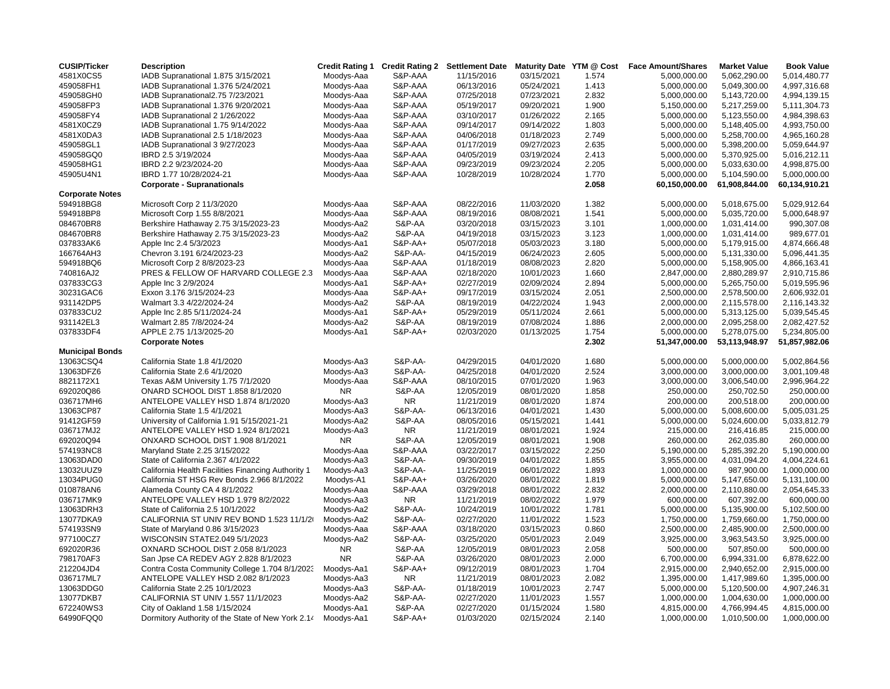| <b>CUSIP/Ticker</b>    | <b>Description</b>                                 | <b>Credit Rating 1</b> | <b>Credit Rating 2</b> | <b>Settlement Date</b> | Maturity Date YTM @ Cost |       | <b>Face Amount/Shares</b> | <b>Market Value</b> | <b>Book Value</b> |
|------------------------|----------------------------------------------------|------------------------|------------------------|------------------------|--------------------------|-------|---------------------------|---------------------|-------------------|
| 4581X0CS5              | IADB Supranational 1.875 3/15/2021                 | Moodys-Aaa             | S&P-AAA                | 11/15/2016             | 03/15/2021               | 1.574 | 5,000,000.00              | 5,062,290.00        | 5,014,480.77      |
| 459058FH1              | IADB Supranational 1.376 5/24/2021                 | Moodys-Aaa             | S&P-AAA                | 06/13/2016             | 05/24/2021               | 1.413 | 5,000,000.00              | 5,049,300.00        | 4,997,316.68      |
| 459058GH0              | IADB Supranational2.75 7/23/2021                   | Moodys-Aaa             | S&P-AAA                | 07/25/2018             | 07/23/2021               | 2.832 | 5,000,000.00              | 5,143,720.00        | 4,994,139.15      |
| 459058FP3              | IADB Supranational 1.376 9/20/2021                 | Moodys-Aaa             | S&P-AAA                | 05/19/2017             | 09/20/2021               | 1.900 | 5,150,000.00              | 5,217,259.00        | 5,111,304.73      |
| 459058FY4              | IADB Supranational 2 1/26/2022                     | Moodys-Aaa             | S&P-AAA                | 03/10/2017             | 01/26/2022               | 2.165 | 5,000,000.00              | 5,123,550.00        | 4,984,398.63      |
| 4581X0CZ9              | IADB Supranational 1.75 9/14/2022                  | Moodys-Aaa             | S&P-AAA                | 09/14/2017             | 09/14/2022               | 1.803 | 5,000,000.00              | 5,148,405.00        | 4,993,750.00      |
| 4581X0DA3              | IADB Supranational 2.5 1/18/2023                   | Moodys-Aaa             | S&P-AAA                | 04/06/2018             | 01/18/2023               | 2.749 | 5,000,000.00              | 5,258,700.00        | 4,965,160.28      |
| 459058GL1              | IADB Supranational 3 9/27/2023                     | Moodys-Aaa             | S&P-AAA                | 01/17/2019             | 09/27/2023               | 2.635 | 5,000,000.00              | 5,398,200.00        | 5,059,644.97      |
| 459058GQ0              | IBRD 2.5 3/19/2024                                 | Moodys-Aaa             | S&P-AAA                | 04/05/2019             | 03/19/2024               | 2.413 | 5,000,000.00              | 5,370,925.00        | 5,016,212.11      |
| 459058HG1              | IBRD 2.2 9/23/2024-20                              | Moodys-Aaa             | S&P-AAA                | 09/23/2019             | 09/23/2024               | 2.205 | 5,000,000.00              | 5,033,630.00        | 4,998,875.00      |
| 45905U4N1              | IBRD 1.77 10/28/2024-21                            | Moodys-Aaa             | S&P-AAA                | 10/28/2019             | 10/28/2024               | 1.770 | 5,000,000.00              | 5,104,590.00        | 5,000,000.00      |
|                        | <b>Corporate - Supranationals</b>                  |                        |                        |                        |                          | 2.058 | 60,150,000.00             | 61,908,844.00       | 60,134,910.21     |
| <b>Corporate Notes</b> |                                                    |                        |                        |                        |                          |       |                           |                     |                   |
| 594918BG8              | Microsoft Corp 2 11/3/2020                         | Moodys-Aaa             | S&P-AAA                | 08/22/2016             | 11/03/2020               | 1.382 | 5,000,000.00              | 5,018,675.00        | 5,029,912.64      |
| 594918BP8              | Microsoft Corp 1.55 8/8/2021                       | Moodys-Aaa             | S&P-AAA                | 08/19/2016             | 08/08/2021               | 1.541 | 5,000,000.00              | 5,035,720.00        | 5,000,648.97      |
| 084670BR8              | Berkshire Hathaway 2.75 3/15/2023-23               | Moodys-Aa2             | S&P-AA                 | 03/20/2018             | 03/15/2023               | 3.101 | 1,000,000.00              | 1,031,414.00        | 990,307.08        |
| 084670BR8              | Berkshire Hathaway 2.75 3/15/2023-23               | Moodys-Aa2             | S&P-AA                 | 04/19/2018             | 03/15/2023               | 3.123 | 1,000,000.00              | 1,031,414.00        | 989,677.01        |
| 037833AK6              | Apple Inc 2.4 5/3/2023                             | Moodys-Aa1             | S&P-AA+                | 05/07/2018             | 05/03/2023               | 3.180 | 5,000,000.00              | 5,179,915.00        | 4,874,666.48      |
| 166764AH3              | Chevron 3.191 6/24/2023-23                         | Moodys-Aa2             | S&P-AA-                | 04/15/2019             | 06/24/2023               | 2.605 | 5,000,000.00              | 5,131,330.00        | 5,096,441.35      |
| 594918BQ6              | Microsoft Corp 2 8/8/2023-23                       | Moodys-Aaa             | S&P-AAA                | 01/18/2019             | 08/08/2023               | 2.820 | 5,000,000.00              | 5,158,905.00        | 4,866,163.41      |
| 740816AJ2              | PRES & FELLOW OF HARVARD COLLEGE 2.3               | Moodys-Aaa             | S&P-AAA                | 02/18/2020             | 10/01/2023               | 1.660 | 2,847,000.00              | 2,880,289.97        | 2,910,715.86      |
| 037833CG3              | Apple Inc 3 2/9/2024                               | Moodys-Aa1             | S&P-AA+                | 02/27/2019             | 02/09/2024               | 2.894 | 5,000,000.00              | 5,265,750.00        | 5,019,595.96      |
| 30231GAC6              | Exxon 3.176 3/15/2024-23                           | Moodys-Aaa             | S&P-AA+                | 09/17/2019             | 03/15/2024               | 2.051 | 2,500,000.00              | 2,578,500.00        | 2,606,932.01      |
| 931142DP5              | Walmart 3.3 4/22/2024-24                           | Moodys-Aa2             | S&P-AA                 | 08/19/2019             | 04/22/2024               | 1.943 | 2,000,000.00              | 2,115,578.00        | 2,116,143.32      |
| 037833CU2              | Apple Inc 2.85 5/11/2024-24                        | Moodys-Aa1             | S&P-AA+                | 05/29/2019             | 05/11/2024               | 2.661 | 5,000,000.00              | 5,313,125.00        | 5,039,545.45      |
| 931142EL3              | Walmart 2.85 7/8/2024-24                           | Moodys-Aa2             | S&P-AA                 | 08/19/2019             | 07/08/2024               | 1.886 | 2,000,000.00              | 2,095,258.00        | 2,082,427.52      |
| 037833DF4              | APPLE 2.75 1/13/2025-20                            | Moodys-Aa1             | S&P-AA+                | 02/03/2020             | 01/13/2025               | 1.754 | 5,000,000.00              | 5,278,075.00        | 5,234,805.00      |
|                        | <b>Corporate Notes</b>                             |                        |                        |                        |                          | 2.302 | 51,347,000.00             | 53,113,948.97       | 51,857,982.06     |
| <b>Municipal Bonds</b> |                                                    |                        |                        |                        |                          |       |                           |                     |                   |
| 13063CSQ4              | California State 1.8 4/1/2020                      | Moodys-Aa3             | <b>S&amp;P-AA-</b>     | 04/29/2015             | 04/01/2020               | 1.680 | 5,000,000.00              | 5,000,000.00        | 5,002,864.56      |
| 13063DFZ6              | California State 2.6 4/1/2020                      | Moodys-Aa3             | <b>S&amp;P-AA-</b>     | 04/25/2018             | 04/01/2020               | 2.524 | 3,000,000.00              | 3,000,000.00        | 3,001,109.48      |
| 8821172X1              | Texas A&M University 1.75 7/1/2020                 | Moodys-Aaa             | S&P-AAA                | 08/10/2015             | 07/01/2020               | 1.963 | 3,000,000.00              | 3,006,540.00        | 2,996,964.22      |
| 692020Q86              | ONARD SCHOOL DIST 1.858 8/1/2020                   | <b>NR</b>              | S&P-AA                 | 12/05/2019             | 08/01/2020               | 1.858 | 250,000.00                | 250,702.50          | 250,000.00        |
| 036717MH6              | ANTELOPE VALLEY HSD 1.874 8/1/2020                 | Moodys-Aa3             | <b>NR</b>              | 11/21/2019             | 08/01/2020               | 1.874 | 200,000.00                | 200,518.00          | 200.000.00        |
| 13063CP87              | California State 1.5 4/1/2021                      | Moodys-Aa3             | S&P-AA-                | 06/13/2016             | 04/01/2021               | 1.430 | 5,000,000.00              | 5,008,600.00        | 5,005,031.25      |
| 91412GF59              | University of California 1.91 5/15/2021-21         | Moodys-Aa2             | S&P-AA                 | 08/05/2016             | 05/15/2021               | 1.441 | 5,000,000.00              | 5,024,600.00        | 5,033,812.79      |
| 036717MJ2              | ANTELOPE VALLEY HSD 1.924 8/1/2021                 | Moodys-Aa3             | <b>NR</b>              | 11/21/2019             | 08/01/2021               | 1.924 | 215.000.00                | 216.416.85          | 215.000.00        |
| 692020Q94              | ONXARD SCHOOL DIST 1.908 8/1/2021                  | <b>NR</b>              | S&P-AA                 | 12/05/2019             | 08/01/2021               | 1.908 | 260,000.00                | 262,035.80          | 260,000.00        |
| 574193NC8              | Maryland State 2.25 3/15/2022                      | Moodys-Aaa             | S&P-AAA                | 03/22/2017             | 03/15/2022               | 2.250 | 5,190,000.00              | 5,285,392.20        | 5,190,000.00      |
| 13063DAD0              | State of California 2.367 4/1/2022                 | Moodys-Aa3             | S&P-AA-                | 09/30/2019             | 04/01/2022               | 1.855 | 3,955,000.00              | 4,031,094.20        | 4,004,224.61      |
| 13032UUZ9              | California Health Facilities Financing Authority 1 | Moodys-Aa3             | S&P-AA-                | 11/25/2019             | 06/01/2022               | 1.893 | 1,000,000.00              | 987,900.00          | 1,000,000.00      |
| 13034PUG0              | California ST HSG Rev Bonds 2.966 8/1/2022         | Moodys-A1              | S&P-AA+                | 03/26/2020             | 08/01/2022               | 1.819 | 5,000,000.00              | 5,147,650.00        | 5,131,100.00      |
| 010878AN6              | Alameda County CA 4 8/1/2022                       | Moodys-Aaa             | S&P-AAA                | 03/29/2018             | 08/01/2022               | 2.832 | 2,000,000.00              | 2,110,880.00        | 2,054,645.33      |
| 036717MK9              | ANTELOPE VALLEY HSD 1.979 8/2/2022                 | Moodys-Aa3             | NR.                    | 11/21/2019             | 08/02/2022               | 1.979 | 600,000.00                | 607,392.00          | 600,000.00        |
| 13063DRH3              | State of California 2.5 10/1/2022                  | Moodys-Aa2             | S&P-AA-                | 10/24/2019             | 10/01/2022               | 1.781 | 5,000,000.00              | 5,135,900.00        | 5,102,500.00      |
| 13077DKA9              | CALIFORNIA ST UNIV REV BOND 1.523 11/1/2           | Moodys-Aa2             | S&P-AA-                | 02/27/2020             | 11/01/2022               | 1.523 | 1,750,000.00              | 1,759,660.00        | 1,750,000.00      |
| 574193SN9              | State of Maryland 0.86 3/15/2023                   | Moodys-Aaa             | S&P-AAA                | 03/18/2020             | 03/15/2023               | 0.860 | 2,500,000.00              | 2,485,900.00        | 2,500,000.00      |
| 977100CZ7              | WISCONSIN STATE2.049 5/1/2023                      | Moodys-Aa2             | S&P-AA-                | 03/25/2020             | 05/01/2023               | 2.049 | 3,925,000.00              | 3,963,543.50        | 3,925,000.00      |
| 692020R36              | OXNARD SCHOOL DIST 2.058 8/1/2023                  | <b>NR</b>              | S&P-AA                 | 12/05/2019             | 08/01/2023               | 2.058 | 500,000.00                | 507,850.00          | 500,000.00        |
| 798170AF3              | San Jpse CA REDEV AGY 2.828 8/1/2023               | <b>NR</b>              | S&P-AA                 | 03/26/2020             | 08/01/2023               | 2.000 | 6,700,000.00              | 6,994,331.00        | 6,878,622.00      |
| 212204JD4              | Contra Costa Community College 1.704 8/1/2023      | Moodys-Aa1             | S&P-AA+                | 09/12/2019             | 08/01/2023               | 1.704 | 2,915,000.00              | 2,940,652.00        | 2,915,000.00      |
| 036717ML7              | ANTELOPE VALLEY HSD 2.082 8/1/2023                 | Moodys-Aa3             | NR.                    | 11/21/2019             | 08/01/2023               | 2.082 | 1,395,000.00              | 1,417,989.60        | 1,395,000.00      |
| 13063DDG0              | California State 2.25 10/1/2023                    | Moodys-Aa3             | S&P-AA-                | 01/18/2019             | 10/01/2023               | 2.747 | 5,000,000.00              | 5,120,500.00        | 4,907,246.31      |
| 13077DKB7              | CALIFORNIA ST UNIV 1.557 11/1/2023                 | Moodys-Aa2             | <b>S&amp;P-AA-</b>     | 02/27/2020             | 11/01/2023               | 1.557 | 1,000,000.00              | 1,004,630.00        | 1,000,000.00      |
| 672240WS3              | City of Oakland 1.58 1/15/2024                     | Moodys-Aa1             | S&P-AA                 | 02/27/2020             | 01/15/2024               | 1.580 | 4,815,000.00              | 4,766,994.45        | 4,815,000.00      |
| 64990FQQ0              | Dormitory Authority of the State of New York 2.14  | Moodys-Aa1             | S&P-AA+                | 01/03/2020             | 02/15/2024               | 2.140 | 1,000,000.00              | 1,010,500.00        | 1,000,000.00      |
|                        |                                                    |                        |                        |                        |                          |       |                           |                     |                   |